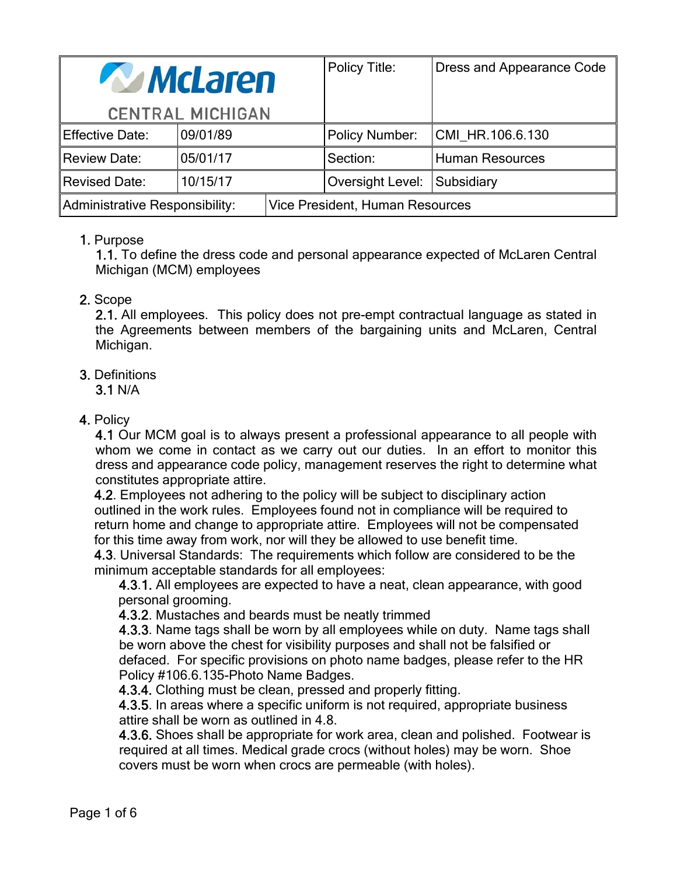| <b>McLaren</b>                        |          |  | Policy Title:                   | Dress and Appearance Code |
|---------------------------------------|----------|--|---------------------------------|---------------------------|
| <b>CENTRAL MICHIGAN</b>               |          |  |                                 |                           |
| <b>Effective Date:</b>                | 09/01/89 |  | <b>Policy Number:</b>           | CMI HR.106.6.130          |
| <b>Review Date:</b>                   | 05/01/17 |  | Section:                        | <b>Human Resources</b>    |
| <b>Revised Date:</b>                  | 10/15/17 |  | Oversight Level: Subsidiary     |                           |
| <b>Administrative Responsibility:</b> |          |  | Vice President, Human Resources |                           |

## 1. Purpose

1.1. To define the dress code and personal appearance expected of McLaren Central Michigan (MCM) employees

## 2. Scope

2.1. All employees. This policy does not pre-empt contractual language as stated in the Agreements between members of the bargaining units and McLaren, Central Michigan.

## 3. Definitions

3.1 N/A

## 4. Policy

4.1 Our MCM goal is to always present a professional appearance to all people with whom we come in contact as we carry out our duties. In an effort to monitor this dress and appearance code policy, management reserves the right to determine what constitutes appropriate attire.

 4.2. Employees not adhering to the policy will be subject to disciplinary action outlined in the work rules. Employees found not in compliance will be required to return home and change to appropriate attire. Employees will not be compensated for this time away from work, nor will they be allowed to use benefit time.

 4.3. Universal Standards: The requirements which follow are considered to be the minimum acceptable standards for all employees:

 4.3.1. All employees are expected to have a neat, clean appearance, with good personal grooming.

4.3.2. Mustaches and beards must be neatly trimmed

 4.3.3. Name tags shall be worn by all employees while on duty. Name tags shall be worn above the chest for visibility purposes and shall not be falsified or defaced. For specific provisions on photo name badges, please refer to the HR Policy #106.6.135-Photo Name Badges.

4.3.4. Clothing must be clean, pressed and properly fitting.

 4.3.5. In areas where a specific uniform is not required, appropriate business attire shall be worn as outlined in 4.8.

 4.3.6. Shoes shall be appropriate for work area, clean and polished. Footwear is required at all times. Medical grade crocs (without holes) may be worn. Shoe covers must be worn when crocs are permeable (with holes).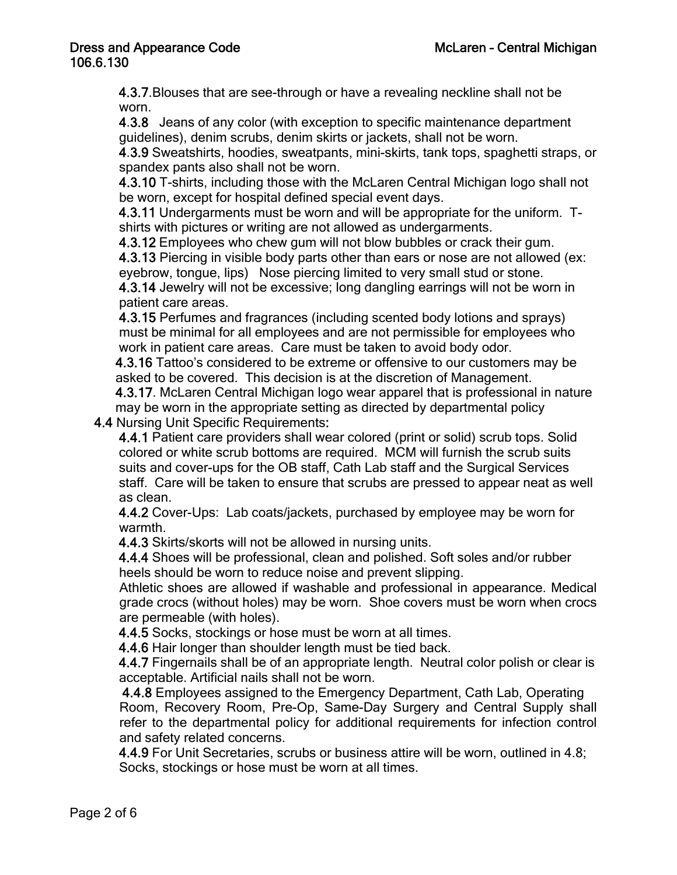4.3.7.Blouses that are see-through or have a revealing neckline shall not be worn.

 4.3.8 Jeans of any color (with exception to specific maintenance department guidelines), denim scrubs, denim skirts or jackets, shall not be worn.

 4.3.9 Sweatshirts, hoodies, sweatpants, mini-skirts, tank tops, spaghetti straps, or spandex pants also shall not be worn.

 4.3.10 T-shirts, including those with the McLaren Central Michigan logo shall not be worn, except for hospital defined special event days.

 4.3.11 Undergarments must be worn and will be appropriate for the uniform. T shirts with pictures or writing are not allowed as undergarments.

4.3.12 Employees who chew gum will not blow bubbles or crack their gum.

4.3.13 Piercing in visible body parts other than ears or nose are not allowed (ex: eyebrow, tongue, lips) Nose piercing limited to very small stud or stone.

 4.3.14 Jewelry will not be excessive; long dangling earrings will not be worn in patient care areas.

 4.3.15 Perfumes and fragrances (including scented body lotions and sprays) must be minimal for all employees and are not permissible for employees who work in patient care areas. Care must be taken to avoid body odor.

 4.3.16 Tattoo's considered to be extreme or offensive to our customers may be asked to be covered. This decision is at the discretion of Management.

 4.3.17. McLaren Central Michigan logo wear apparel that is professional in nature may be worn in the appropriate setting as directed by departmental policy

4.4 Nursing Unit Specific Requirements:

 4.4.1 Patient care providers shall wear colored (print or solid) scrub tops. Solid colored or white scrub bottoms are required. MCM will furnish the scrub suits suits and cover-ups for the OB staff, Cath Lab staff and the Surgical Services staff. Care will be taken to ensure that scrubs are pressed to appear neat as well as clean.

 4.4.2 Cover-Ups: Lab coats/jackets, purchased by employee may be worn for warmth.

4.4.3 Skirts/skorts will not be allowed in nursing units.

 4.4.4 Shoes will be professional, clean and polished. Soft soles and/or rubber heels should be worn to reduce noise and prevent slipping.

Athletic shoes are allowed if washable and professional in appearance. Medical grade crocs (without holes) may be worn. Shoe covers must be worn when crocs are permeable (with holes).

4.4.5 Socks, stockings or hose must be worn at all times.

4.4.6 Hair longer than shoulder length must be tied back.

 4.4.7 Fingernails shall be of an appropriate length. Neutral color polish or clear is acceptable. Artificial nails shall not be worn.

 4.4.8 Employees assigned to the Emergency Department, Cath Lab, Operating Room, Recovery Room, Pre-Op, Same-Day Surgery and Central Supply shall refer to the departmental policy for additional requirements for infection control and safety related concerns.

 4.4.9 For Unit Secretaries, scrubs or business attire will be worn, outlined in 4.8; Socks, stockings or hose must be worn at all times.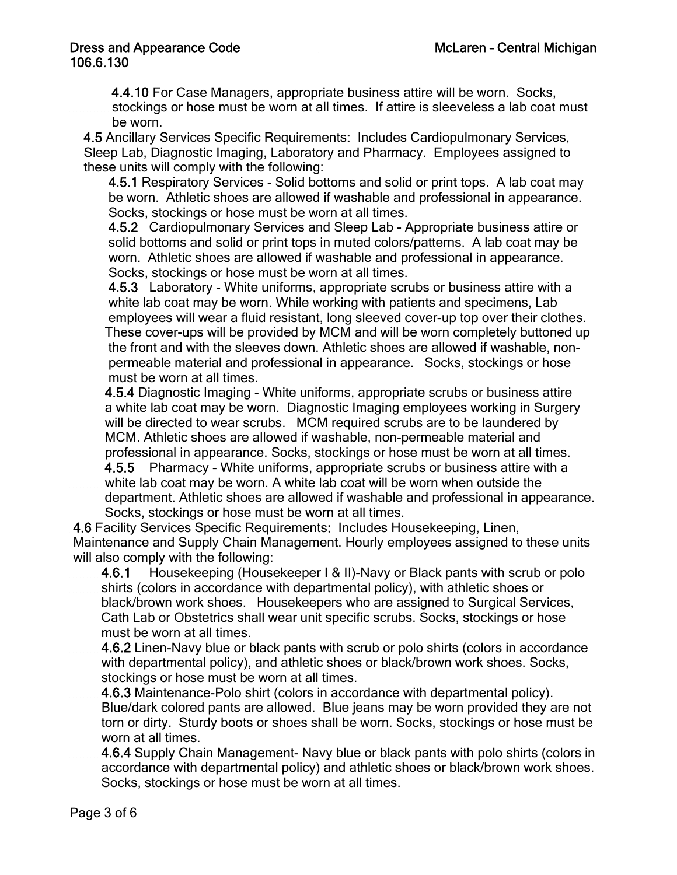4.4.10 For Case Managers, appropriate business attire will be worn. Socks, stockings or hose must be worn at all times. If attire is sleeveless a lab coat must be worn.

 4.5 Ancillary Services Specific Requirements: Includes Cardiopulmonary Services, Sleep Lab, Diagnostic Imaging, Laboratory and Pharmacy. Employees assigned to these units will comply with the following:

 4.5.1 Respiratory Services - Solid bottoms and solid or print tops. A lab coat may be worn. Athletic shoes are allowed if washable and professional in appearance. Socks, stockings or hose must be worn at all times.

 4.5.2 Cardiopulmonary Services and Sleep Lab - Appropriate business attire or solid bottoms and solid or print tops in muted colors/patterns. A lab coat may be worn. Athletic shoes are allowed if washable and professional in appearance. Socks, stockings or hose must be worn at all times.

 4.5.3 Laboratory - White uniforms, appropriate scrubs or business attire with a white lab coat may be worn. While working with patients and specimens, Lab employees will wear a fluid resistant, long sleeved cover-up top over their clothes. These cover-ups will be provided by MCM and will be worn completely buttoned up the front and with the sleeves down. Athletic shoes are allowed if washable, non permeable material and professional in appearance. Socks, stockings or hose must be worn at all times.

 4.5.4 Diagnostic Imaging - White uniforms, appropriate scrubs or business attire a white lab coat may be worn. Diagnostic Imaging employees working in Surgery will be directed to wear scrubs. MCM required scrubs are to be laundered by MCM. Athletic shoes are allowed if washable, non-permeable material and professional in appearance. Socks, stockings or hose must be worn at all times. 4.5.5 Pharmacy - White uniforms, appropriate scrubs or business attire with a white lab coat may be worn. A white lab coat will be worn when outside the department. Athletic shoes are allowed if washable and professional in appearance. Socks, stockings or hose must be worn at all times.

 4.6 Facility Services Specific Requirements: Includes Housekeeping, Linen, Maintenance and Supply Chain Management. Hourly employees assigned to these units will also comply with the following:

 4.6.1 Housekeeping (Housekeeper I & II)-Navy or Black pants with scrub or polo shirts (colors in accordance with departmental policy), with athletic shoes or black/brown work shoes. Housekeepers who are assigned to Surgical Services, Cath Lab or Obstetrics shall wear unit specific scrubs. Socks, stockings or hose must be worn at all times.

 4.6.2 Linen-Navy blue or black pants with scrub or polo shirts (colors in accordance with departmental policy), and athletic shoes or black/brown work shoes. Socks, stockings or hose must be worn at all times.

 4.6.3 Maintenance-Polo shirt (colors in accordance with departmental policy). Blue/dark colored pants are allowed. Blue jeans may be worn provided they are not torn or dirty. Sturdy boots or shoes shall be worn. Socks, stockings or hose must be worn at all times.

 4.6.4 Supply Chain Management- Navy blue or black pants with polo shirts (colors in accordance with departmental policy) and athletic shoes or black/brown work shoes. Socks, stockings or hose must be worn at all times.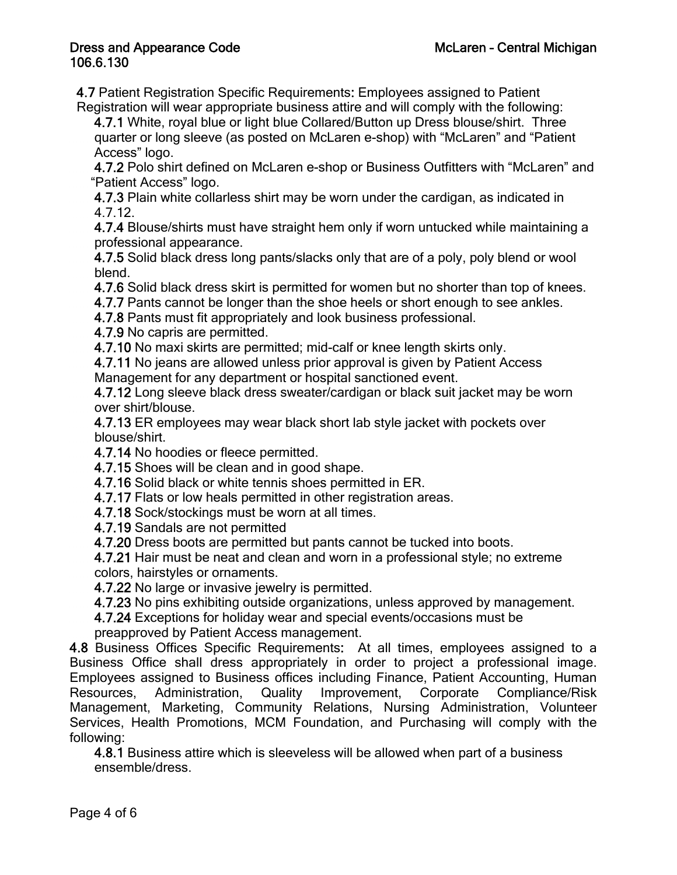4.7 Patient Registration Specific Requirements: Employees assigned to Patient Registration will wear appropriate business attire and will comply with the following:

 4.7.1 White, royal blue or light blue Collared/Button up Dress blouse/shirt. Three quarter or long sleeve (as posted on McLaren e-shop) with "McLaren" and "Patient Access" logo.

 4.7.2 Polo shirt defined on McLaren e-shop or Business Outfitters with "McLaren" and "Patient Access" logo.

 4.7.3 Plain white collarless shirt may be worn under the cardigan, as indicated in 4.7.12.

 4.7.4 Blouse/shirts must have straight hem only if worn untucked while maintaining a professional appearance.

 4.7.5 Solid black dress long pants/slacks only that are of a poly, poly blend or wool blend.

4.7.6 Solid black dress skirt is permitted for women but no shorter than top of knees.

4.7.7 Pants cannot be longer than the shoe heels or short enough to see ankles.

4.7.8 Pants must fit appropriately and look business professional.

4.7.9 No capris are permitted.

4.7.10 No maxi skirts are permitted; mid-calf or knee length skirts only.

4.7.11 No jeans are allowed unless prior approval is given by Patient Access

Management for any department or hospital sanctioned event.

 4.7.12 Long sleeve black dress sweater/cardigan or black suit jacket may be worn over shirt/blouse.

 4.7.13 ER employees may wear black short lab style jacket with pockets over blouse/shirt.

4.7.14 No hoodies or fleece permitted.

4.7.15 Shoes will be clean and in good shape.

4.7.16 Solid black or white tennis shoes permitted in ER.

4.7.17 Flats or low heals permitted in other registration areas.

4.7.18 Sock/stockings must be worn at all times.

4.7.19 Sandals are not permitted

4.7.20 Dress boots are permitted but pants cannot be tucked into boots.

 4.7.21 Hair must be neat and clean and worn in a professional style; no extreme colors, hairstyles or ornaments.

4.7.22 No large or invasive jewelry is permitted.

4.7.23 No pins exhibiting outside organizations, unless approved by management.

 4.7.24 Exceptions for holiday wear and special events/occasions must be preapproved by Patient Access management.

4.8 Business Offices Specific Requirements: At all times, employees assigned to a Business Office shall dress appropriately in order to project a professional image. Employees assigned to Business offices including Finance, Patient Accounting, Human Resources, Administration, Quality Improvement, Corporate Compliance/Risk Management, Marketing, Community Relations, Nursing Administration, Volunteer Services, Health Promotions, MCM Foundation, and Purchasing will comply with the following:

 4.8.1 Business attire which is sleeveless will be allowed when part of a business ensemble/dress.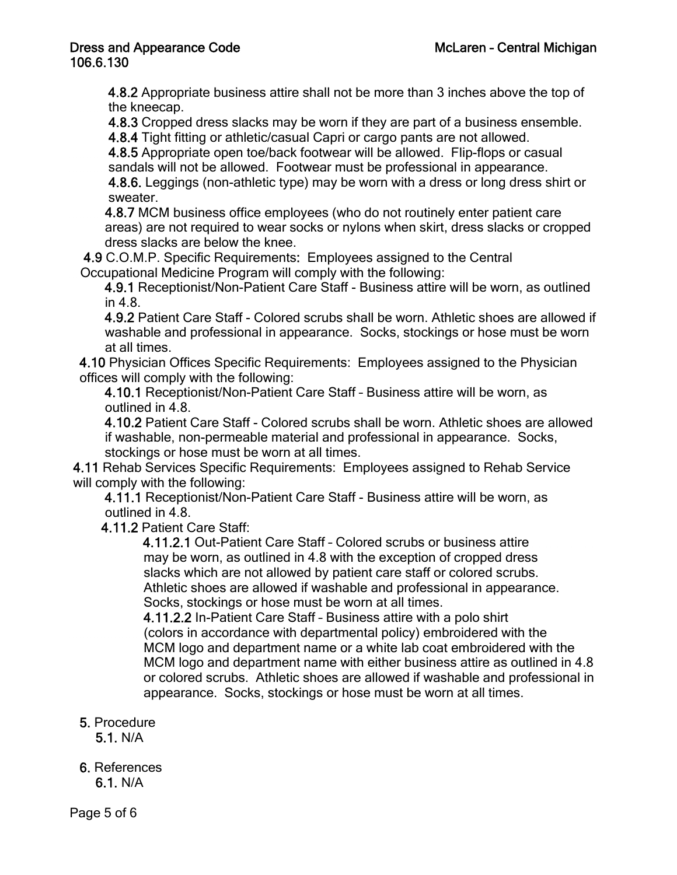4.8.2 Appropriate business attire shall not be more than 3 inches above the top of the kneecap.

4.8.3 Cropped dress slacks may be worn if they are part of a business ensemble.

4.8.4 Tight fitting or athletic/casual Capri or cargo pants are not allowed.

 4.8.5 Appropriate open toe/back footwear will be allowed. Flip-flops or casual sandals will not be allowed. Footwear must be professional in appearance.

 4.8.6. Leggings (non-athletic type) may be worn with a dress or long dress shirt or sweater.

 4.8.7 MCM business office employees (who do not routinely enter patient care areas) are not required to wear socks or nylons when skirt, dress slacks or cropped dress slacks are below the knee.

 4.9 C.O.M.P. Specific Requirements: Employees assigned to the Central Occupational Medicine Program will comply with the following:

 4.9.1 Receptionist/Non-Patient Care Staff - Business attire will be worn, as outlined in 4.8.

 4.9.2 Patient Care Staff - Colored scrubs shall be worn. Athletic shoes are allowed if washable and professional in appearance. Socks, stockings or hose must be worn at all times.

4.10 Physician Offices Specific Requirements: Employees assigned to the Physician offices will comply with the following:

 4.10.1 Receptionist/Non-Patient Care Staff – Business attire will be worn, as outlined in 4.8.

 4.10.2 Patient Care Staff - Colored scrubs shall be worn. Athletic shoes are allowed if washable, non-permeable material and professional in appearance. Socks, stockings or hose must be worn at all times.

 4.11 Rehab Services Specific Requirements: Employees assigned to Rehab Service will comply with the following:

 4.11.1 Receptionist/Non-Patient Care Staff - Business attire will be worn, as outlined in 4.8.

4.11.2 Patient Care Staff:

 4.11.2.1 Out-Patient Care Staff – Colored scrubs or business attire may be worn, as outlined in 4.8 with the exception of cropped dress slacks which are not allowed by patient care staff or colored scrubs. Athletic shoes are allowed if washable and professional in appearance. Socks, stockings or hose must be worn at all times.

 4.11.2.2 In-Patient Care Staff – Business attire with a polo shirt (colors in accordance with departmental policy) embroidered with the MCM logo and department name or a white lab coat embroidered with the MCM logo and department name with either business attire as outlined in 4.8 or colored scrubs. Athletic shoes are allowed if washable and professional in appearance. Socks, stockings or hose must be worn at all times.

5. Procedure

5.1. N/A

6. References 6.1. N/A

Page 5 of 6